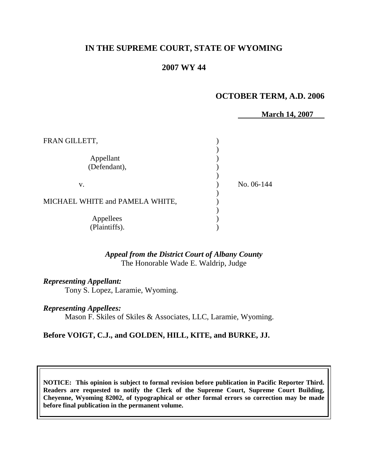# **IN THE SUPREME COURT, STATE OF WYOMING**

## **2007 WY 44**

### **OCTOBER TERM, A.D. 2006**

**March 14, 2007**

| FRAN GILLETT,                   |            |
|---------------------------------|------------|
| Appellant<br>(Defendant),       |            |
| V.                              | No. 06-144 |
| MICHAEL WHITE and PAMELA WHITE, |            |
| Appellees<br>(Plaintiffs).      |            |

### *Appeal from the District Court of Albany County* The Honorable Wade E. Waldrip, Judge

#### *Representing Appellant:*

Tony S. Lopez, Laramie, Wyoming.

#### *Representing Appellees:*

Mason F. Skiles of Skiles & Associates, LLC, Laramie, Wyoming.

#### **Before VOIGT, C.J., and GOLDEN, HILL, KITE, and BURKE, JJ.**

**NOTICE: This opinion is subject to formal revision before publication in Pacific Reporter Third. Readers are requested to notify the Clerk of the Supreme Court, Supreme Court Building, Cheyenne, Wyoming 82002, of typographical or other formal errors so correction may be made before final publication in the permanent volume.**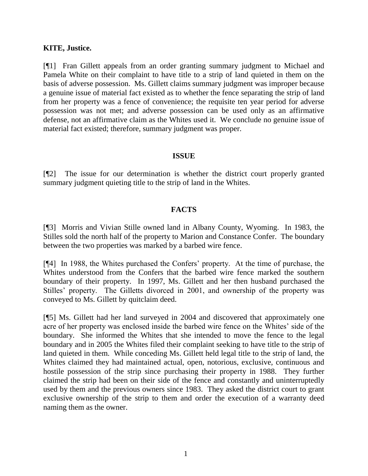### **KITE, Justice.**

[¶1] Fran Gillett appeals from an order granting summary judgment to Michael and Pamela White on their complaint to have title to a strip of land quieted in them on the basis of adverse possession. Ms. Gillett claims summary judgment was improper because a genuine issue of material fact existed as to whether the fence separating the strip of land from her property was a fence of convenience; the requisite ten year period for adverse possession was not met; and adverse possession can be used only as an affirmative defense, not an affirmative claim as the Whites used it. We conclude no genuine issue of material fact existed; therefore, summary judgment was proper.

### **ISSUE**

[¶2] The issue for our determination is whether the district court properly granted summary judgment quieting title to the strip of land in the Whites.

# **FACTS**

[¶3] Morris and Vivian Stille owned land in Albany County, Wyoming. In 1983, the Stilles sold the north half of the property to Marion and Constance Confer. The boundary between the two properties was marked by a barbed wire fence.

[¶4] In 1988, the Whites purchased the Confers' property. At the time of purchase, the Whites understood from the Confers that the barbed wire fence marked the southern boundary of their property. In 1997, Ms. Gillett and her then husband purchased the Stilles' property. The Gilletts divorced in 2001, and ownership of the property was conveyed to Ms. Gillett by quitclaim deed.

[¶5] Ms. Gillett had her land surveyed in 2004 and discovered that approximately one acre of her property was enclosed inside the barbed wire fence on the Whites' side of the boundary. She informed the Whites that she intended to move the fence to the legal boundary and in 2005 the Whites filed their complaint seeking to have title to the strip of land quieted in them. While conceding Ms. Gillett held legal title to the strip of land, the Whites claimed they had maintained actual, open, notorious, exclusive, continuous and hostile possession of the strip since purchasing their property in 1988. They further claimed the strip had been on their side of the fence and constantly and uninterruptedly used by them and the previous owners since 1983. They asked the district court to grant exclusive ownership of the strip to them and order the execution of a warranty deed naming them as the owner.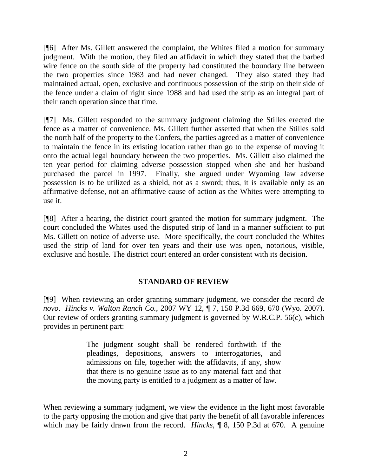[¶6] After Ms. Gillett answered the complaint, the Whites filed a motion for summary judgment. With the motion, they filed an affidavit in which they stated that the barbed wire fence on the south side of the property had constituted the boundary line between the two properties since 1983 and had never changed. They also stated they had maintained actual, open, exclusive and continuous possession of the strip on their side of the fence under a claim of right since 1988 and had used the strip as an integral part of their ranch operation since that time.

[¶7] Ms. Gillett responded to the summary judgment claiming the Stilles erected the fence as a matter of convenience. Ms. Gillett further asserted that when the Stilles sold the north half of the property to the Confers, the parties agreed as a matter of convenience to maintain the fence in its existing location rather than go to the expense of moving it onto the actual legal boundary between the two properties. Ms. Gillett also claimed the ten year period for claiming adverse possession stopped when she and her husband purchased the parcel in 1997. Finally, she argued under Wyoming law adverse possession is to be utilized as a shield, not as a sword; thus, it is available only as an affirmative defense, not an affirmative cause of action as the Whites were attempting to use it.

[¶8] After a hearing, the district court granted the motion for summary judgment. The court concluded the Whites used the disputed strip of land in a manner sufficient to put Ms. Gillett on notice of adverse use. More specifically, the court concluded the Whites used the strip of land for over ten years and their use was open, notorious, visible, exclusive and hostile. The district court entered an order consistent with its decision.

# **STANDARD OF REVIEW**

[¶9] When reviewing an order granting summary judgment, we consider the record *de novo*. *Hincks v. Walton Ranch Co.*, 2007 WY 12, ¶ 7, 150 P.3d 669, 670 (Wyo. 2007). Our review of orders granting summary judgment is governed by W.R.C.P. 56(c), which provides in pertinent part:

> The judgment sought shall be rendered forthwith if the pleadings, depositions, answers to interrogatories, and admissions on file, together with the affidavits, if any, show that there is no genuine issue as to any material fact and that the moving party is entitled to a judgment as a matter of law.

When reviewing a summary judgment, we view the evidence in the light most favorable to the party opposing the motion and give that party the benefit of all favorable inferences which may be fairly drawn from the record. *Hincks*, ¶ 8, 150 P.3d at 670. A genuine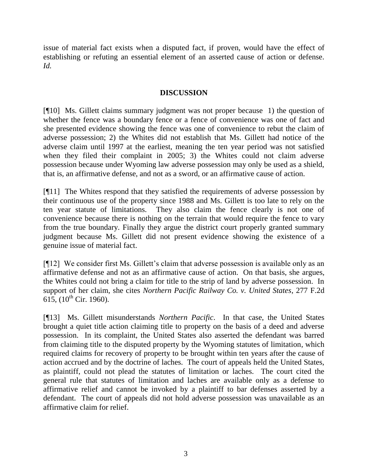issue of material fact exists when a disputed fact, if proven, would have the effect of establishing or refuting an essential element of an asserted cause of action or defense. *Id.*

## **DISCUSSION**

[¶10] Ms. Gillett claims summary judgment was not proper because 1) the question of whether the fence was a boundary fence or a fence of convenience was one of fact and she presented evidence showing the fence was one of convenience to rebut the claim of adverse possession; 2) the Whites did not establish that Ms. Gillett had notice of the adverse claim until 1997 at the earliest, meaning the ten year period was not satisfied when they filed their complaint in 2005; 3) the Whites could not claim adverse possession because under Wyoming law adverse possession may only be used as a shield, that is, an affirmative defense, and not as a sword, or an affirmative cause of action.

[¶11] The Whites respond that they satisfied the requirements of adverse possession by their continuous use of the property since 1988 and Ms. Gillett is too late to rely on the ten year statute of limitations. They also claim the fence clearly is not one of convenience because there is nothing on the terrain that would require the fence to vary from the true boundary. Finally they argue the district court properly granted summary judgment because Ms. Gillett did not present evidence showing the existence of a genuine issue of material fact.

[¶12] We consider first Ms. Gillett's claim that adverse possession is available only as an affirmative defense and not as an affirmative cause of action. On that basis, she argues, the Whites could not bring a claim for title to the strip of land by adverse possession. In support of her claim, she cites *Northern Pacific Railway Co. v. United States*, 277 F.2d  $615$ ,  $(10^{th}$  Cir. 1960).

[¶13] Ms. Gillett misunderstands *Northern Pacific*. In that case, the United States brought a quiet title action claiming title to property on the basis of a deed and adverse possession. In its complaint, the United States also asserted the defendant was barred from claiming title to the disputed property by the Wyoming statutes of limitation, which required claims for recovery of property to be brought within ten years after the cause of action accrued and by the doctrine of laches. The court of appeals held the United States, as plaintiff, could not plead the statutes of limitation or laches. The court cited the general rule that statutes of limitation and laches are available only as a defense to affirmative relief and cannot be invoked by a plaintiff to bar defenses asserted by a defendant. The court of appeals did not hold adverse possession was unavailable as an affirmative claim for relief.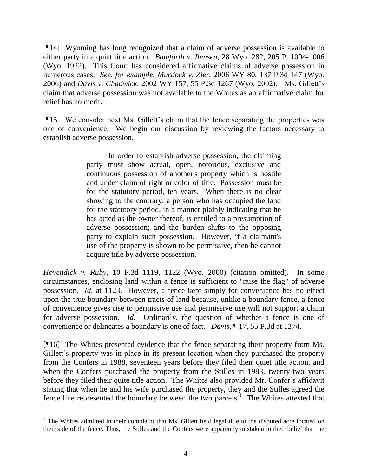[¶14] Wyoming has long recognized that a claim of adverse possession is available to either party in a quiet title action. *Bamforth v. Ihmsen*, 28 Wyo. 282, 205 P. 1004-1006 (Wyo. 1922). This Court has considered affirmative claims of adverse possession in numerous cases. *See, for example*, *Murdock v. Zier*, 2006 WY 80, 137 P.3d 147 (Wyo. 2006) and *Davis v. Chadwick*, 2002 WY 157, 55 P.3d 1267 (Wyo. 2002). Ms. Gillett's claim that adverse possession was not available to the Whites as an affirmative claim for relief has no merit.

[¶15] We consider next Ms. Gillett's claim that the fence separating the properties was one of convenience. We begin our discussion by reviewing the factors necessary to establish adverse possession.

> In order to establish adverse possession, the claiming party must show actual, open, notorious, exclusive and continuous possession of another's property which is hostile and under claim of right or color of title. Possession must be for the statutory period, ten years. When there is no clear showing to the contrary, a person who has occupied the land for the statutory period, in a manner plainly indicating that he has acted as the owner thereof, is entitled to a presumption of adverse possession; and the burden shifts to the opposing party to explain such possession. However, if a claimant's use of the property is shown to be permissive, then he cannot acquire title by adverse possession.

*Hovendick v. Ruby*, 10 P.3d 1119, 1122 (Wyo. 2000) (citation omitted). In some circumstances, enclosing land within a fence is sufficient to "raise the flag" of adverse possession. *Id*. at 1123. However, a fence kept simply for convenience has no effect upon the true boundary between tracts of land because, unlike a boundary fence, a fence of convenience gives rise to permissive use and permissive use will not support a claim for adverse possession. *Id*. Ordinarily, the question of whether a fence is one of convenience or delineates a boundary is one of fact. *Davis*, ¶ 17, 55 P.3d at 1274.

[¶16] The Whites presented evidence that the fence separating their property from Ms. Gillett's property was in place in its present location when they purchased the property from the Confers in 1988, seventeen years before they filed their quiet title action, and when the Confers purchased the property from the Stilles in 1983, twenty-two years before they filed their quite title action. The Whites also provided Mr. Confer's affidavit stating that when he and his wife purchased the property, they and the Stilles agreed the fence line represented the boundary between the two parcels.<sup>1</sup> The Whites attested that

l

<sup>&</sup>lt;sup>1</sup> The Whites admitted in their complaint that Ms. Gillett held legal title to the disputed acre located on their side of the fence. Thus, the Stilles and the Confers were apparently mistaken in their belief that the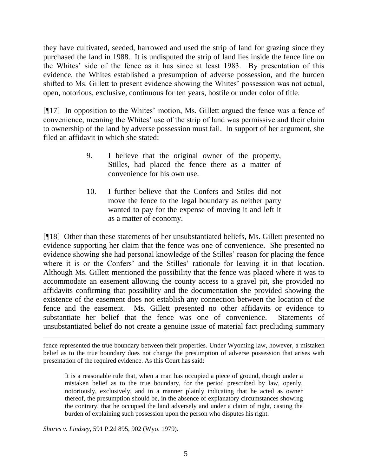they have cultivated, seeded, harrowed and used the strip of land for grazing since they purchased the land in 1988. It is undisputed the strip of land lies inside the fence line on the Whites' side of the fence as it has since at least 1983. By presentation of this evidence, the Whites established a presumption of adverse possession, and the burden shifted to Ms. Gillett to present evidence showing the Whites' possession was not actual, open, notorious, exclusive, continuous for ten years, hostile or under color of title.

[¶17] In opposition to the Whites' motion, Ms. Gillett argued the fence was a fence of convenience, meaning the Whites' use of the strip of land was permissive and their claim to ownership of the land by adverse possession must fail. In support of her argument, she filed an affidavit in which she stated:

- 9. I believe that the original owner of the property, Stilles, had placed the fence there as a matter of convenience for his own use.
- 10. I further believe that the Confers and Stiles did not move the fence to the legal boundary as neither party wanted to pay for the expense of moving it and left it as a matter of economy.

[¶18] Other than these statements of her unsubstantiated beliefs, Ms. Gillett presented no evidence supporting her claim that the fence was one of convenience. She presented no evidence showing she had personal knowledge of the Stilles' reason for placing the fence where it is or the Confers' and the Stilles' rationale for leaving it in that location. Although Ms. Gillett mentioned the possibility that the fence was placed where it was to accommodate an easement allowing the county access to a gravel pit, she provided no affidavits confirming that possibility and the documentation she provided showing the existence of the easement does not establish any connection between the location of the fence and the easement. Ms. Gillett presented no other affidavits or evidence to substantiate her belief that the fence was one of convenience. Statements of unsubstantiated belief do not create a genuine issue of material fact precluding summary

It is a reasonable rule that, when a man has occupied a piece of ground, though under a mistaken belief as to the true boundary, for the period prescribed by law, openly, notoriously, exclusively, and in a manner plainly indicating that he acted as owner thereof, the presumption should be, in the absence of explanatory circumstances showing the contrary, that he occupied the land adversely and under a claim of right, casting the burden of explaining such possession upon the person who disputes his right.

*Shores v. Lindsey*, 591 P.2d 895, 902 (Wyo. 1979).

fence represented the true boundary between their properties. Under Wyoming law, however, a mistaken belief as to the true boundary does not change the presumption of adverse possession that arises with presentation of the required evidence. As this Court has said: